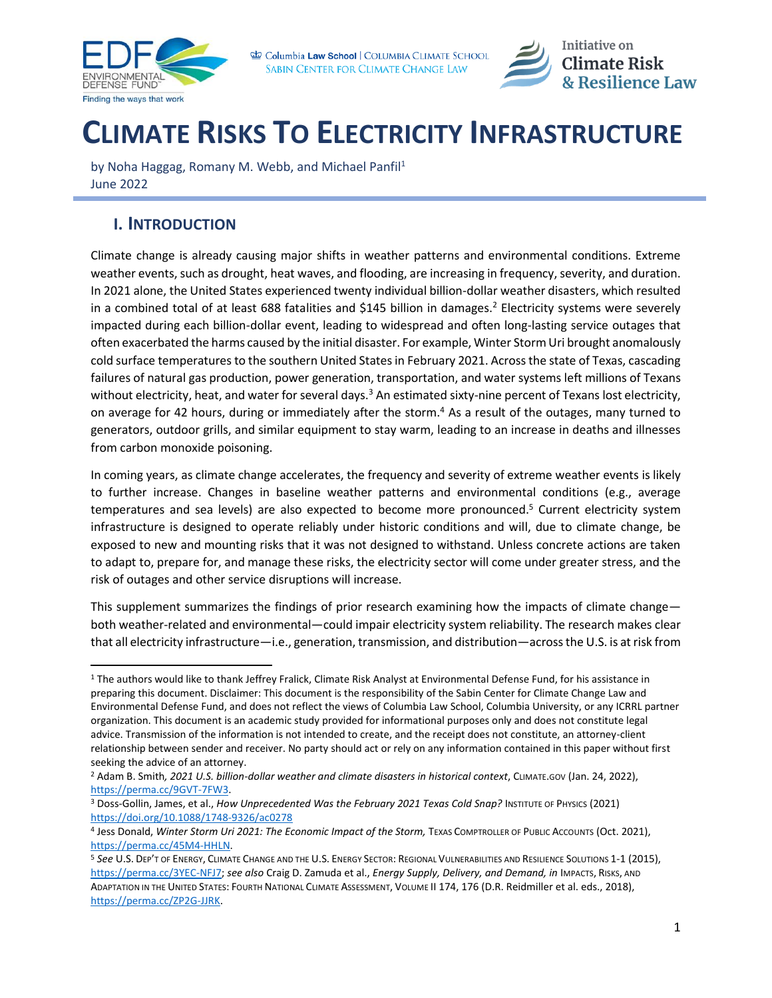



# **CLIMATE RISKS TO ELECTRICITY INFRASTRUCTURE**

by Noha Haggag, Romany M. Webb, and Michael Panfil<sup>1</sup> June 2022

### **I. INTRODUCTION**

Climate change is already causing major shifts in weather patterns and environmental conditions. Extreme weather events, such as drought, heat waves, and flooding, are increasing in frequency, severity, and duration. In 2021 alone, the United States experienced twenty individual billion-dollar weather disasters, which resulted in a combined total of at least 688 fatalities and \$145 billion in damages.<sup>2</sup> Electricity systems were severely impacted during each billion-dollar event, leading to widespread and often long-lasting service outages that often exacerbated the harms caused by the initial disaster. For example, Winter Storm Uri brought anomalously cold surface temperatures to the southern United States in February 2021. Across the state of Texas, cascading failures of natural gas production, power generation, transportation, and water systems left millions of Texans without electricity, heat, and water for several days. $3$  An estimated sixty-nine percent of Texans lost electricity, on average for 42 hours, during or immediately after the storm.<sup>4</sup> As a result of the outages, many turned to generators, outdoor grills, and similar equipment to stay warm, leading to an increase in deaths and illnesses from carbon monoxide poisoning.

<span id="page-0-0"></span>In coming years, as climate change accelerates, the frequency and severity of extreme weather events is likely to further increase. Changes in baseline weather patterns and environmental conditions (e.g., average temperatures and sea levels) are also expected to become more pronounced.<sup>5</sup> Current electricity system infrastructure is designed to operate reliably under historic conditions and will, due to climate change, be exposed to new and mounting risks that it was not designed to withstand. Unless concrete actions are taken to adapt to, prepare for, and manage these risks, the electricity sector will come under greater stress, and the risk of outages and other service disruptions will increase.

This supplement summarizes the findings of prior research examining how the impacts of climate change both weather-related and environmental—could impair electricity system reliability. The research makes clear that all electricity infrastructure—i.e., generation, transmission, and distribution—across the U.S. is at risk from

<sup>&</sup>lt;sup>1</sup> The authors would like to thank Jeffrey Fralick, Climate Risk Analyst at Environmental Defense Fund, for his assistance in preparing this document. Disclaimer: This document is the responsibility of the Sabin Center for Climate Change Law and Environmental Defense Fund, and does not reflect the views of Columbia Law School, Columbia University, or any ICRRL partner organization. This document is an academic study provided for informational purposes only and does not constitute legal advice. Transmission of the information is not intended to create, and the receipt does not constitute, an attorney-client relationship between sender and receiver. No party should act or rely on any information contained in this paper without first seeking the advice of an attorney.

<sup>2</sup> Adam B. Smith*, 2021 U.S. billion-dollar weather and climate disasters in historical context*, CLIMATE.GOV (Jan. 24, 2022), [https://perma.cc/9GVT-7FW3.](https://perma.cc/9GVT-7FW3) 

<sup>&</sup>lt;sup>3</sup> Doss-Gollin, James, et al., *How Unprecedented Was the February 2021 Texas Cold Snap?* Institute of Physics (2021) <https://doi.org/10.1088/1748-9326/ac0278>

<sup>4</sup> Jess Donald, *Winter Storm Uri 2021: The Economic Impact of the Storm,* TEXAS COMPTROLLER OF PUBLIC ACCOUNTS (Oct. 2021), [https://perma.cc/45M4-HHLN.](https://perma.cc/45M4-HHLN) 

<sup>5</sup> *See* U.S. DEP'T OF ENERGY, CLIMATE CHANGE AND THE U.S. ENERGY SECTOR: REGIONAL VULNERABILITIES AND RESILIENCE SOLUTIONS 1-1 (2015), [https://perma.cc/3YEC-NFJ7;](https://perma.cc/3YEC-NFJ7) *see also* Craig D. Zamuda et al., *Energy Supply, Delivery, and Demand, in* IMPACTS, RISKS, AND ADAPTATION IN THE UNITED STATES: FOURTH NATIONAL CLIMATE ASSESSMENT, VOLUME II 174, 176 (D.R. Reidmiller et al. eds., 2018), [https://perma.cc/ZP2G-JJRK.](https://perma.cc/ZP2G-JJRK)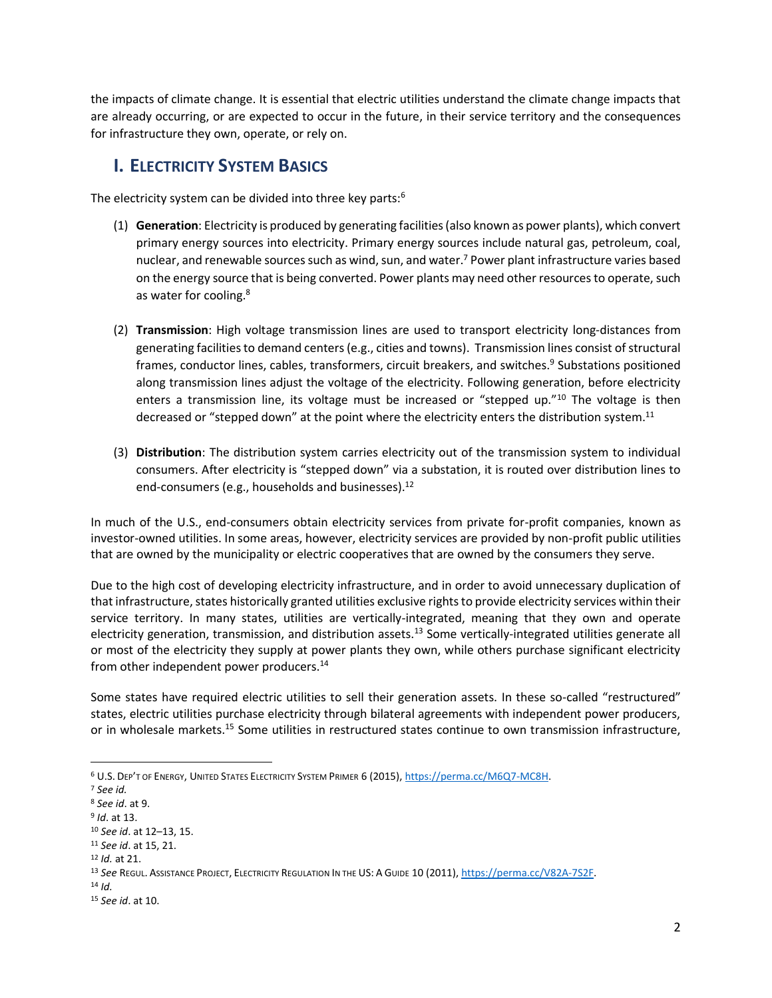the impacts of climate change. It is essential that electric utilities understand the climate change impacts that are already occurring, or are expected to occur in the future, in their service territory and the consequences for infrastructure they own, operate, or rely on.

#### **I. ELECTRICITY SYSTEM BASICS**

The electricity system can be divided into three key parts:<sup>6</sup>

- (1) **Generation**: Electricity is produced by generating facilities (also known as power plants), which convert primary energy sources into electricity. Primary energy sources include natural gas, petroleum, coal, nuclear, and renewable sources such as wind, sun, and water.<sup>7</sup> Power plant infrastructure varies based on the energy source that is being converted. Power plants may need other resources to operate, such as water for cooling.<sup>8</sup>
- (2) **Transmission**: High voltage transmission lines are used to transport electricity long-distances from generating facilities to demand centers (e.g., cities and towns). Transmission lines consist of structural frames, conductor lines, cables, transformers, circuit breakers, and switches.<sup>9</sup> Substations positioned along transmission lines adjust the voltage of the electricity. Following generation, before electricity enters a transmission line, its voltage must be increased or "stepped up."<sup>10</sup> The voltage is then decreased or "stepped down" at the point where the electricity enters the distribution system.<sup>11</sup>
- (3) **Distribution**: The distribution system carries electricity out of the transmission system to individual consumers. After electricity is "stepped down" via a substation, it is routed over distribution lines to end-consumers (e.g., households and businesses). $^{12}$

In much of the U.S., end-consumers obtain electricity services from private for-profit companies, known as investor-owned utilities. In some areas, however, electricity services are provided by non-profit public utilities that are owned by the municipality or electric cooperatives that are owned by the consumers they serve.

Due to the high cost of developing electricity infrastructure, and in order to avoid unnecessary duplication of that infrastructure, states historically granted utilities exclusive rights to provide electricity services within their service territory. In many states, utilities are vertically-integrated, meaning that they own and operate electricity generation, transmission, and distribution assets.<sup>13</sup> Some vertically-integrated utilities generate all or most of the electricity they supply at power plants they own, while others purchase significant electricity from other independent power producers.<sup>14</sup>

Some states have required electric utilities to sell their generation assets. In these so-called "restructured" states, electric utilities purchase electricity through bilateral agreements with independent power producers, or in wholesale markets.<sup>15</sup> Some utilities in restructured states continue to own transmission infrastructure,

<sup>6</sup> U.S. DEP'T OF ENERGY, UNITED STATES ELECTRICITY SYSTEM PRIMER 6 (2015)[, https://perma.cc/M6Q7-MC8H.](https://perma.cc/M6Q7-MC8H)

<sup>7</sup> *See id.* 

<sup>8</sup> *See id*. at 9.

<sup>9</sup> *Id*. at 13.

<sup>10</sup> *See id*. at 12–13, 15.

<sup>11</sup> *See id*. at 15, 21.

<sup>12</sup> *Id.* at 21.

<sup>13</sup> *See* REGUL. ASSISTANCE PROJECT, ELECTRICITY REGULATION IN THE US: A GUIDE 10 (2011), [https://perma.cc/V82A-7S2F.](https://perma.cc/V82A-7S2F)

<sup>14</sup> *Id.*

<sup>15</sup> *See id*. at 10.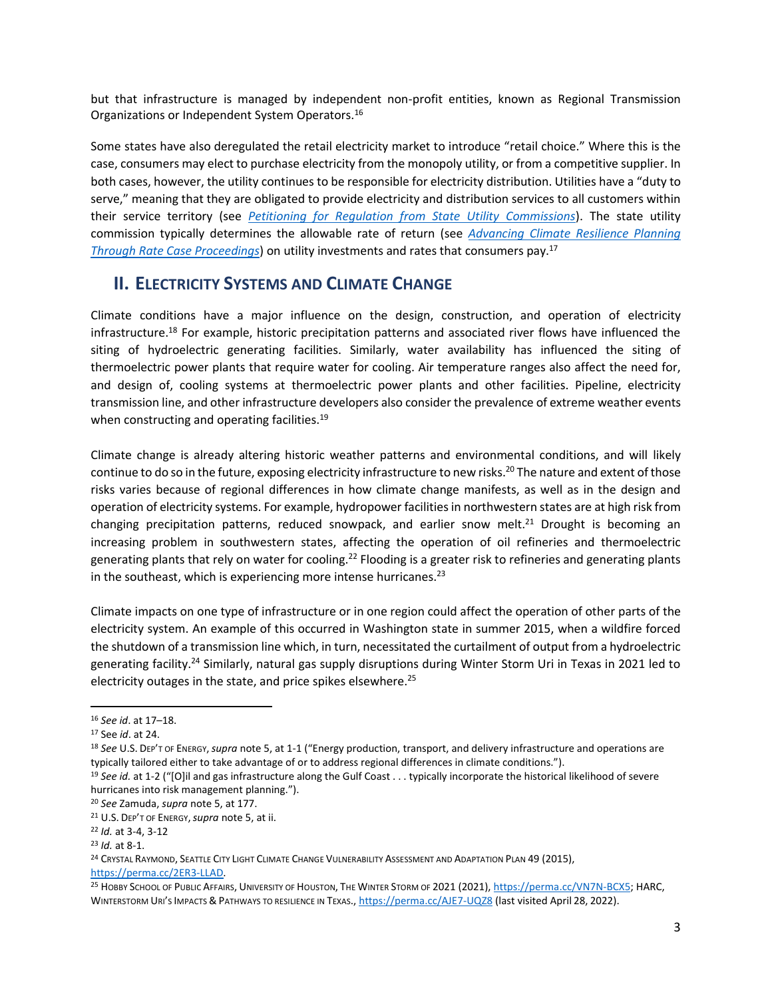but that infrastructure is managed by independent non-profit entities, known as Regional Transmission Organizations or Independent System Operators.<sup>16</sup>

Some states have also deregulated the retail electricity market to introduce "retail choice." Where this is the case, consumers may elect to purchase electricity from the monopoly utility, or from a competitive supplier. In both cases, however, the utility continues to be responsible for electricity distribution. Utilities have a "duty to serve," meaning that they are obligated to provide electricity and distribution services to all customers within their service territory (see *[Petitioning for Regulation from State Utility Commissions](https://www.icrrl.org/files/2022/06/Petitioning-for-Regulation-from-State-Utility-Commissions.pdf)*). The state utility commission typically determines the allowable rate of return (see *[Advancing Climate Resilience Planning](https://www.icrrl.org/files/2022/06/Advancing-Climate-Resilience-Planning-through-Rate-Case.pdf)  [Through Rate Case Proceedings](https://www.icrrl.org/files/2022/06/Advancing-Climate-Resilience-Planning-through-Rate-Case.pdf)*) on utility investments and rates that consumers pay.<sup>17</sup>

#### **II. ELECTRICITY SYSTEMS AND CLIMATE CHANGE**

Climate conditions have a major influence on the design, construction, and operation of electricity infrastructure.<sup>18</sup> For example, historic precipitation patterns and associated river flows have influenced the siting of hydroelectric generating facilities. Similarly, water availability has influenced the siting of thermoelectric power plants that require water for cooling. Air temperature ranges also affect the need for, and design of, cooling systems at thermoelectric power plants and other facilities. Pipeline, electricity transmission line, and other infrastructure developers also consider the prevalence of extreme weather events when constructing and operating facilities.<sup>19</sup>

Climate change is already altering historic weather patterns and environmental conditions, and will likely continue to do so in the future, exposing electricity infrastructure to new risks.<sup>20</sup> The nature and extent of those risks varies because of regional differences in how climate change manifests, as well as in the design and operation of electricity systems. For example, hydropower facilitiesin northwestern states are at high risk from changing precipitation patterns, reduced snowpack, and earlier snow melt.<sup>21</sup> Drought is becoming an increasing problem in southwestern states, affecting the operation of oil refineries and thermoelectric generating plants that rely on water for cooling.<sup>22</sup> Flooding is a greater risk to refineries and generating plants in the southeast, which is experiencing more intense hurricanes. $^{23}$ 

Climate impacts on one type of infrastructure or in one region could affect the operation of other parts of the electricity system. An example of this occurred in Washington state in summer 2015, when a wildfire forced the shutdown of a transmission line which, in turn, necessitated the curtailment of output from a hydroelectric generating facility.<sup>24</sup> Similarly, natural gas supply disruptions during Winter Storm Uri in Texas in 2021 led to electricity outages in the state, and price spikes elsewhere.<sup>25</sup>

<sup>16</sup> *See id*. at 17–18.

<sup>17</sup> See *id*. at 24.

<sup>18</sup> *See* U.S. DEP'T OF ENERGY,*supra* not[e 5,](#page-0-0) at 1-1 ("Energy production, transport, and delivery infrastructure and operations are typically tailored either to take advantage of or to address regional differences in climate conditions.").

<sup>&</sup>lt;sup>19</sup> See id. at 1-2 ("[O]il and gas infrastructure along the Gulf Coast . . . typically incorporate the historical likelihood of severe hurricanes into risk management planning.").

<sup>20</sup> *See* Zamuda, *supra* not[e 5,](#page-0-0) at 177.

<sup>21</sup> U.S. DEP'T OF ENERGY,*supra* not[e 5,](#page-0-0) at ii.

<sup>22</sup> *Id.* at 3-4, 3-12

<sup>23</sup> *Id.* at 8-1.

<sup>&</sup>lt;sup>24</sup> CRYSTAL RAYMOND, SEATTLE CITY LIGHT CLIMATE CHANGE VULNERABILITY ASSESSMENT AND ADAPTATION PLAN 49 (2015), [https://perma.cc/2ER3-LLAD.](https://perma.cc/2ER3-LLAD)

<sup>25</sup> HOBBY SCHOOL OF PUBLIC AFFAIRS, UNIVERSITY OF HOUSTON, THE WINTER STORM OF 2021 (2021)[, https://perma.cc/VN7N-BCX5;](https://perma.cc/VN7N-BCX5) HARC, WINTERSTORM URI'S IMPACTS & PATHWAYS TO RESILIENCE IN TEXAS.,<https://perma.cc/AJE7-UQZ8> (last visited April 28, 2022).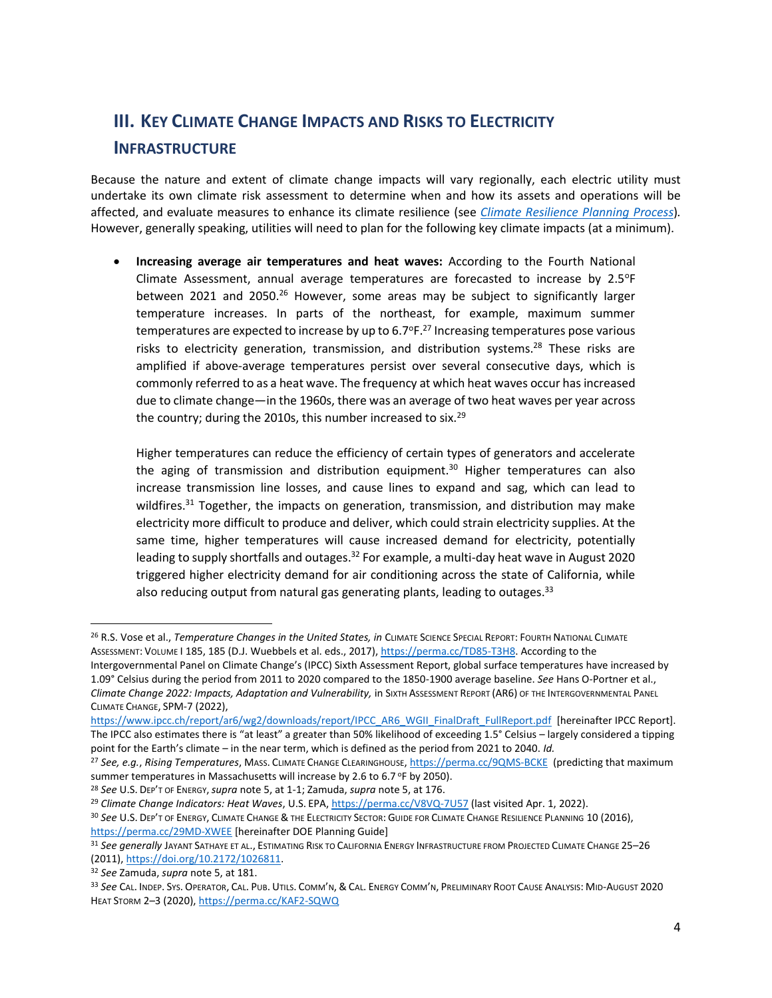## **III. KEY CLIMATE CHANGE IMPACTS AND RISKS TO ELECTRICITY INFRASTRUCTURE**

Because the nature and extent of climate change impacts will vary regionally, each electric utility must undertake its own climate risk assessment to determine when and how its assets and operations will be affected, and evaluate measures to enhance its climate resilience (see *[Climate Resilience Planning Process](https://www.icrrl.org/files/2022/06/Climate-Resilience-Planning-Process-Supplement.pdf)*)*.*  However, generally speaking, utilities will need to plan for the following key climate impacts (at a minimum).

<span id="page-3-0"></span>• **Increasing average air temperatures and heat waves:** According to the Fourth National Climate Assessment, annual average temperatures are forecasted to increase by  $2.5^{\circ}F$ between 2021 and 2050.<sup>26</sup> However, some areas may be subject to significantly larger temperature increases. In parts of the northeast, for example, maximum summer temperatures are expected to increase by up to  $6.7^\circ$ F.<sup>27</sup> Increasing temperatures pose various risks to electricity generation, transmission, and distribution systems.<sup>28</sup> These risks are amplified if above-average temperatures persist over several consecutive days, which is commonly referred to as a heat wave. The frequency at which heat waves occur has increased due to climate change—in the 1960s, there was an average of two heat waves per year across the country; during the 2010s, this number increased to six. $^{29}$ 

<span id="page-3-1"></span>Higher temperatures can reduce the efficiency of certain types of generators and accelerate the aging of transmission and distribution equipment.<sup>30</sup> Higher temperatures can also increase transmission line losses, and cause lines to expand and sag, which can lead to wildfires.<sup>31</sup> Together, the impacts on generation, transmission, and distribution may make electricity more difficult to produce and deliver, which could strain electricity supplies. At the same time, higher temperatures will cause increased demand for electricity, potentially leading to supply shortfalls and outages.<sup>32</sup> For example, a multi-day heat wave in August 2020 triggered higher electricity demand for air conditioning across the state of California, while also reducing output from natural gas generating plants, leading to outages.<sup>33</sup>

<sup>26</sup> R.S. Vose et al., *Temperature Changes in the United States, in* CLIMATE SCIENCE SPECIAL REPORT: FOURTH NATIONAL CLIMATE ASSESSMENT: VOLUME I 185, 185 (D.J. Wuebbels et al. eds., 2017)[, https://perma.cc/TD85-T3H8.](https://perma.cc/TD85-T3H8) According to the

Intergovernmental Panel on Climate Change's (IPCC) Sixth Assessment Report, global surface temperatures have increased by 1.09° Celsius during the period from 2011 to 2020 compared to the 1850-1900 average baseline. *See* Hans O-Portner et al., *Climate Change 2022: Impacts, Adaptation and Vulnerability,* in SIXTH ASSESSMENT REPORT (AR6) OF THE INTERGOVERNMENTAL PANEL CLIMATE CHANGE, SPM-7 (2022),

[https://www.ipcc.ch/report/ar6/wg2/downloads/report/IPCC\\_AR6\\_WGII\\_FinalDraft\\_FullReport.pdf](https://www.ipcc.ch/report/ar6/wg2/downloads/report/IPCC_AR6_WGII_FinalDraft_FullReport.pdf) [hereinafter IPCC Report]. The IPCC also estimates there is "at least" a greater than 50% likelihood of exceeding 1.5° Celsius – largely considered a tipping point for the Earth's climate – in the near term, which is defined as the period from 2021 to 2040. *Id.*

<sup>27</sup> *See, e.g.*, *Rising Temperatures*, MASS. CLIMATE CHANGE CLEARINGHOUSE[, https://perma.cc/9QMS-BCKE](https://perma.cc/9QMS-BCKE) (predicting that maximum summer temperatures in Massachusetts will increase by 2.6 to 6.7 °F by 2050).

<sup>28</sup> *See* U.S. DEP'T OF ENERGY,*supra* not[e 5,](#page-0-0) at 1-1; Zamuda, *supra* not[e 5,](#page-0-0) at 176.

<sup>29</sup> *Climate Change Indicators: Heat Waves*, U.S. EPA[, https://perma.cc/V8VQ-7U57](https://perma.cc/V8VQ-7U57) (last visited Apr. 1, 2022).

<sup>30</sup> *See* U.S. DEP'T OF ENERGY, CLIMATE CHANGE & THE ELECTRICITY SECTOR: GUIDE FOR CLIMATE CHANGE RESILIENCE PLANNING 10 (2016), <https://perma.cc/29MD-XWEE> [hereinafter DOE Planning Guide]

<sup>31</sup> *See generally* JAYANT SATHAYE ET AL., ESTIMATING RISK TO CALIFORNIA ENERGY INFRASTRUCTURE FROM PROJECTED CLIMATE CHANGE 25–26 (2011)[, https://doi.org/10.2172/1026811.](https://doi.org/10.2172/1026811)

<sup>32</sup> *See* Zamuda, *supra* not[e 5,](#page-0-0) at 181.

<sup>33</sup> *See* CAL. INDEP. SYS. OPERATOR, CAL. PUB. UTILS. COMM'N, & CAL. ENERGY COMM'N, PRELIMINARY ROOT CAUSE ANALYSIS: MID-AUGUST 2020 HEAT STORM 2-3 (2020)[, https://perma.cc/KAF2-SQWQ](https://perma.cc/KAF2-SQWQ)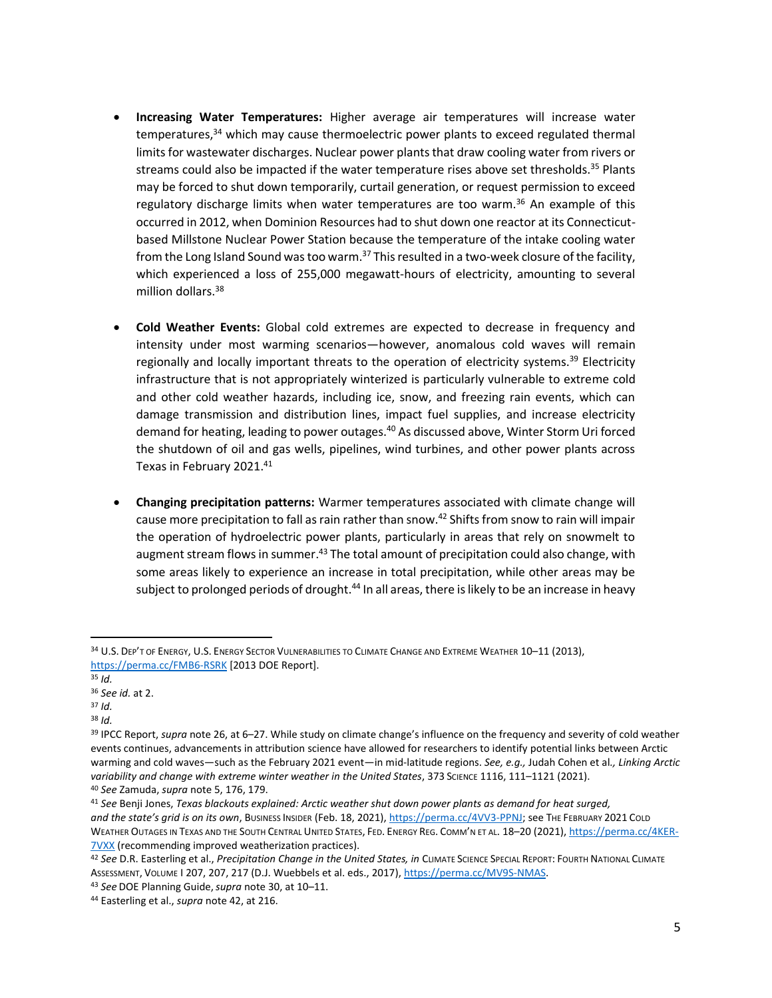- <span id="page-4-1"></span>• **Increasing Water Temperatures:** Higher average air temperatures will increase water temperatures,<sup>34</sup> which may cause thermoelectric power plants to exceed regulated thermal limits for wastewater discharges. Nuclear power plants that draw cooling water from rivers or streams could also be impacted if the water temperature rises above set thresholds.<sup>35</sup> Plants may be forced to shut down temporarily, curtail generation, or request permission to exceed regulatory discharge limits when water temperatures are too warm.<sup>36</sup> An example of this occurred in 2012, when Dominion Resources had to shut down one reactor at its Connecticutbased Millstone Nuclear Power Station because the temperature of the intake cooling water from the Long Island Sound was too warm.<sup>37</sup> This resulted in a two-week closure of the facility, which experienced a loss of 255,000 megawatt-hours of electricity, amounting to several million dollars.<sup>38</sup>
- **Cold Weather Events:** Global cold extremes are expected to decrease in frequency and intensity under most warming scenarios—however, anomalous cold waves will remain regionally and locally important threats to the operation of electricity systems.<sup>39</sup> Electricity infrastructure that is not appropriately winterized is particularly vulnerable to extreme cold and other cold weather hazards, including ice, snow, and freezing rain events, which can damage transmission and distribution lines, impact fuel supplies, and increase electricity demand for heating, leading to power outages.<sup>40</sup> As discussed above, Winter Storm Uri forced the shutdown of oil and gas wells, pipelines, wind turbines, and other power plants across Texas in February 2021.<sup>41</sup>
- <span id="page-4-0"></span>• **Changing precipitation patterns:** Warmer temperatures associated with climate change will cause more precipitation to fall as rain rather than snow.<sup>42</sup> Shifts from snow to rain will impair the operation of hydroelectric power plants, particularly in areas that rely on snowmelt to augment stream flows in summer.<sup>43</sup> The total amount of precipitation could also change, with some areas likely to experience an increase in total precipitation, while other areas may be subject to prolonged periods of drought.<sup>44</sup> In all areas, there is likely to be an increase in heavy

<sup>38</sup> *Id.*

<sup>34</sup> U.S. DEP'T OF ENERGY, U.S. ENERGY SECTOR VULNERABILITIES TO CLIMATE CHANGE AND EXTREME WEATHER 10-11 (2013), <https://perma.cc/FMB6-RSRK> [2013 DOE Report].

<sup>35</sup> *Id.*

<sup>36</sup> *See id.* at 2.

<sup>37</sup> *Id.* 

<sup>39</sup> IPCC Report, *supra* not[e 26,](#page-3-0) at 6–27. While study on climate change's influence on the frequency and severity of cold weather events continues, advancements in attribution science have allowed for researchers to identify potential links between Arctic warming and cold waves—such as the February 2021 event—in mid-latitude regions. *See, e.g.,* Judah Cohen et al*., Linking Arctic variability and change with extreme winter weather in the United States*, 373 SCIENCE 1116, 111–1121 (2021). <sup>40</sup> *See* Zamuda, *supra* not[e 5,](#page-0-0) 176, 179.

<sup>41</sup> *See* Benji Jones, *Texas blackouts explained: Arctic weather shut down power plants as demand for heat surged, and the state's grid is on its own*, BUSINESS INSIDER (Feb. 18, 2021)[, https://perma.cc/4VV3-PPNJ;](https://perma.cc/4VV3-PPNJ) see THE FEBRUARY 2021 COLD WEATHER OUTAGES IN TEXAS AND THE SOUTH CENTRAL UNITED STATES, FED. ENERGY REG. COMM'N ET AL. 18–20 (2021)[, https://perma.cc/4KER-](https://perma.cc/4KER-7VXX)**[7VXX](https://perma.cc/4KER-7VXX)** (recommending improved weatherization practices).

<sup>42</sup> *See* D.R. Easterling et al., *Precipitation Change in the United States, in* CLIMATE SCIENCE SPECIAL REPORT: FOURTH NATIONAL CLIMATE ASSESSMENT, VOLUME I 207, 207, 217 (D.J. Wuebbels et al. eds., 2017)[, https://perma.cc/MV9S-NMAS.](https://perma.cc/MV9S-NMAS)

<sup>43</sup> *See* DOE Planning Guide,*supra* note [30,](#page-3-1) at 10–11.

<sup>44</sup> Easterling et al., *supra* not[e 42,](#page-4-0) at 216.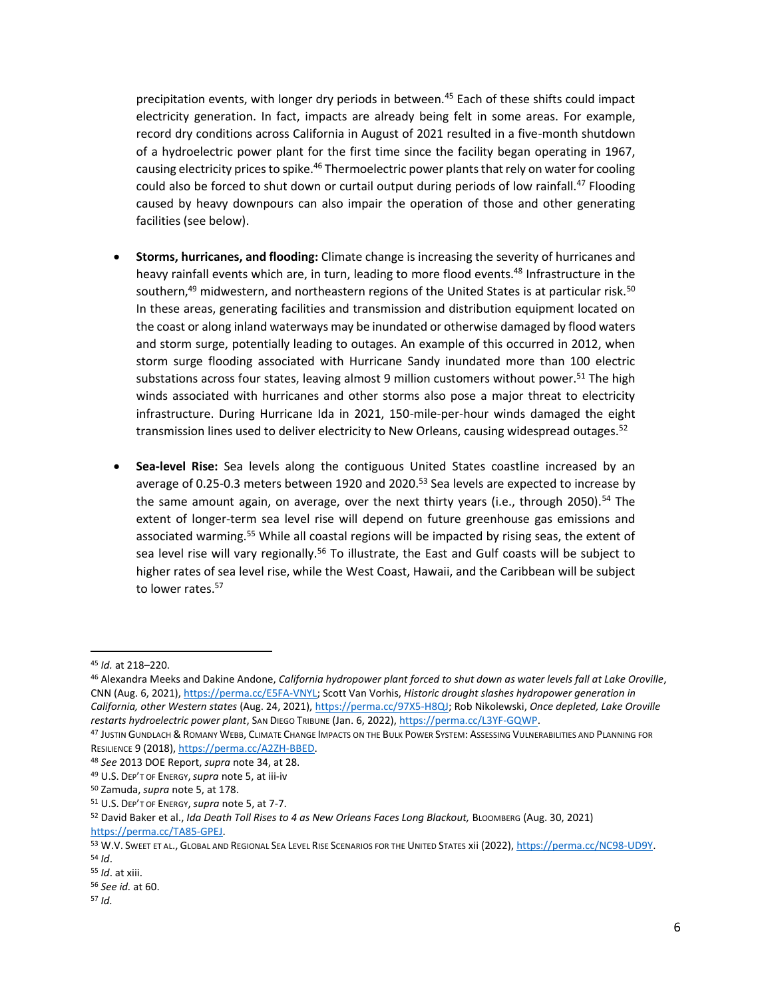precipitation events, with longer dry periods in between.<sup>45</sup> Each of these shifts could impact electricity generation. In fact, impacts are already being felt in some areas. For example, record dry conditions across California in August of 2021 resulted in a five-month shutdown of a hydroelectric power plant for the first time since the facility began operating in 1967, causing electricity prices to spike.<sup>46</sup> Thermoelectric power plants that rely on water for cooling could also be forced to shut down or curtail output during periods of low rainfall.<sup>47</sup> Flooding caused by heavy downpours can also impair the operation of those and other generating facilities (see below).

- **Storms, hurricanes, and flooding:** Climate change is increasing the severity of hurricanes and heavy rainfall events which are, in turn, leading to more flood events.<sup>48</sup> Infrastructure in the southern,<sup>49</sup> midwestern, and northeastern regions of the United States is at particular risk.<sup>50</sup> In these areas, generating facilities and transmission and distribution equipment located on the coast or along inland waterways may be inundated or otherwise damaged by flood waters and storm surge, potentially leading to outages. An example of this occurred in 2012, when storm surge flooding associated with Hurricane Sandy inundated more than 100 electric substations across four states, leaving almost 9 million customers without power.<sup>51</sup> The high winds associated with hurricanes and other storms also pose a major threat to electricity infrastructure. During Hurricane Ida in 2021, 150-mile-per-hour winds damaged the eight transmission lines used to deliver electricity to New Orleans, causing widespread outages.<sup>52</sup>
- <span id="page-5-0"></span>• **Sea-level Rise:** Sea levels along the contiguous United States coastline increased by an average of 0.25-0.3 meters between 1920 and 2020.<sup>53</sup> Sea levels are expected to increase by the same amount again, on average, over the next thirty years (i.e., through 2050).<sup>54</sup> The extent of longer-term sea level rise will depend on future greenhouse gas emissions and associated warming.<sup>55</sup> While all coastal regions will be impacted by rising seas, the extent of sea level rise will vary regionally.<sup>56</sup> To illustrate, the East and Gulf coasts will be subject to higher rates of sea level rise, while the West Coast, Hawaii, and the Caribbean will be subject to lower rates.<sup>57</sup>

<sup>45</sup> *Id.* at 218–220.

<sup>46</sup> Alexandra Meeks and Dakine Andone, *California hydropower plant forced to shut down as water levels fall at Lake Oroville*, CNN (Aug. 6, 2021), [https://perma.cc/E5FA-VNYL;](https://perma.cc/E5FA-VNYL) Scott Van Vorhis, *Historic drought slashes hydropower generation in California, other Western states* (Aug. 24, 2021), [https://perma.cc/97X5-H8QJ;](https://perma.cc/97X5-H8QJ) Rob Nikolewski, *Once depleted, Lake Oroville restarts hydroelectric power plant*, SAN DIEGO TRIBUNE (Jan. 6, 2022), [https://perma.cc/L3YF-GQWP.](https://perma.cc/L3YF-GQWP)

<sup>47</sup> JUSTIN GUNDLACH & ROMANY WEBB, CLIMATE CHANGE IMPACTS ON THE BULK POWER SYSTEM: ASSESSING VULNERABILITIES AND PLANNING FOR RESILIENCE 9 (2018)[, https://perma.cc/A2ZH-BBED.](https://perma.cc/A2ZH-BBED) 

<sup>48</sup> *See* 2013 DOE Report, *supra* note [34,](#page-4-1) at 28.

<sup>49</sup> U.S. DEP'T OF ENERGY,*supra* not[e 5,](#page-0-0) at iii-iv

<sup>50</sup> Zamuda, *supra* not[e 5,](#page-0-0) at 178.

<sup>51</sup> U.S. DEP'T OF ENERGY, *supra* not[e 5,](#page-0-0) at 7-7.

<sup>52</sup> David Baker et al., *Ida Death Toll Rises to 4 as New Orleans Faces Long Blackout,* BLOOMBERG (Aug. 30, 2021) [https://perma.cc/TA85-GPEJ.](https://perma.cc/TA85-GPEJ)

<sup>53</sup> W.V. SWEET ET AL., GLOBAL AND REGIONAL SEA LEVEL RISE SCENARIOS FOR THE UNITED STATES xii (2022), [https://perma.cc/NC98-UD9Y.](https://perma.cc/NC98-UD9Y) <sup>54</sup> *Id*.

<sup>55</sup> *Id*. at xiii. <sup>56</sup> *See id.* at 60.

<sup>57</sup> *Id.*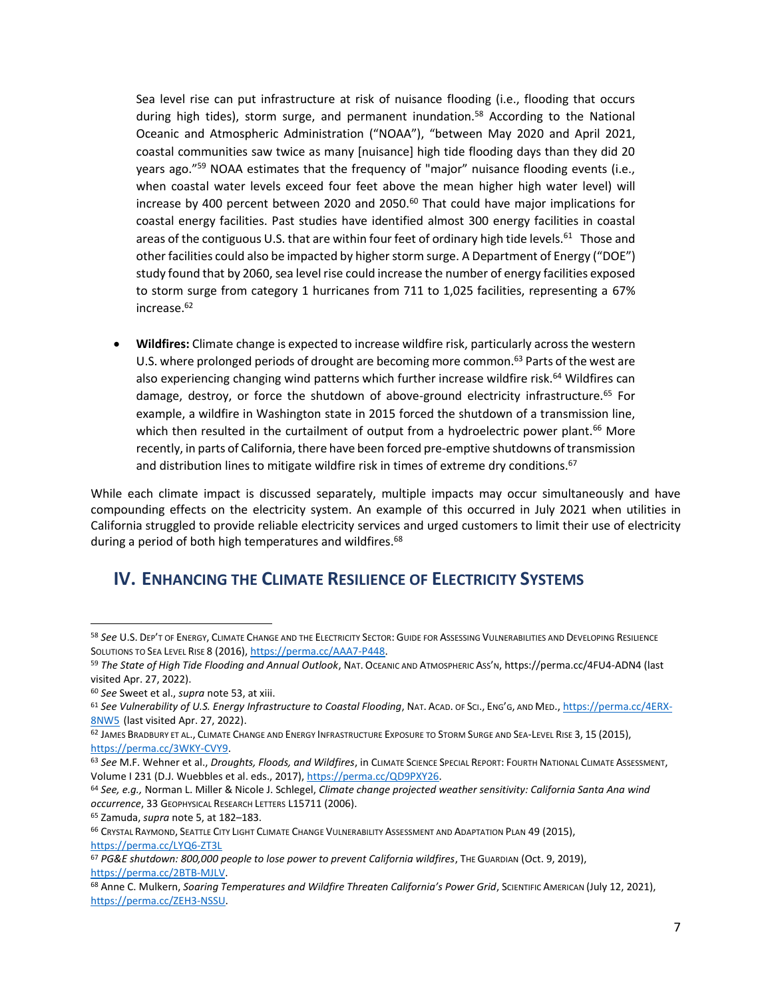Sea level rise can put infrastructure at risk of nuisance flooding (i.e., flooding that occurs during high tides), storm surge, and permanent inundation.<sup>58</sup> According to the National Oceanic and Atmospheric Administration ("NOAA"), "between May 2020 and April 2021, coastal communities saw twice as many [nuisance] high tide flooding days than they did 20 years ago."<sup>59</sup> NOAA estimates that the frequency of "major" nuisance flooding events (i.e., when coastal water levels exceed four feet above the mean higher high water level) will increase by 400 percent between 2020 and 2050. $^{60}$  That could have major implications for coastal energy facilities. Past studies have identified almost 300 energy facilities in coastal areas of the contiguous U.S. that are within four feet of ordinary high tide levels.<sup>61</sup> Those and other facilities could also be impacted by higher storm surge. A Department of Energy ("DOE") study found that by 2060, sea level rise could increase the number of energy facilities exposed to storm surge from category 1 hurricanes from 711 to 1,025 facilities, representing a 67% increase.<sup>62</sup>

• **Wildfires:** Climate change is expected to increase wildfire risk, particularly across the western U.S. where prolonged periods of drought are becoming more common.<sup>63</sup> Parts of the west are also experiencing changing wind patterns which further increase wildfire risk.<sup>64</sup> Wildfires can damage, destroy, or force the shutdown of above-ground electricity infrastructure.<sup>65</sup> For example, a wildfire in Washington state in 2015 forced the shutdown of a transmission line, which then resulted in the curtailment of output from a hydroelectric power plant.<sup>66</sup> More recently, in parts of California, there have been forced pre-emptive shutdowns of transmission and distribution lines to mitigate wildfire risk in times of extreme dry conditions.<sup>67</sup>

While each climate impact is discussed separately, multiple impacts may occur simultaneously and have compounding effects on the electricity system. An example of this occurred in July 2021 when utilities in California struggled to provide reliable electricity services and urged customers to limit their use of electricity during a period of both high temperatures and wildfires.<sup>68</sup>

#### **IV. ENHANCING THE CLIMATE RESILIENCE OF ELECTRICITY SYSTEMS**

<sup>58</sup> *See* U.S. DEP'T OF ENERGY, CLIMATE CHANGE AND THE ELECTRICITY SECTOR: GUIDE FOR ASSESSING VULNERABILITIES AND DEVELOPING RESILIENCE SOLUTIONS TO SEA LEVEL RISE 8 (2016)[, https://perma.cc/AAA7-P448.](https://perma.cc/AAA7-P448) 

<sup>59</sup> *The State of High Tide Flooding and Annual Outlook*, NAT. OCEANIC AND ATMOSPHERIC ASS'N, https://perma.cc/4FU4-ADN4 (last visited Apr. 27, 2022).

<sup>60</sup> *See* Sweet et al., *supra* not[e 53,](#page-5-0) at xiii.

<sup>61</sup> *See Vulnerability of U.S. Energy Infrastructure to Coastal Flooding*, NAT. ACAD. OF SCI., ENG'G, AND MED.[, https://perma.cc/4ERX-](https://perma.cc/4ERX-8NW5)[8NW5](https://perma.cc/4ERX-8NW5) (last visited Apr. 27, 2022).

<sup>62</sup> JAMES BRADBURY ET AL., CLIMATE CHANGE AND ENERGY INFRASTRUCTURE EXPOSURE TO STORM SURGE AND SEA-LEVEL RISE 3, 15 (2015), [https://perma.cc/3WKY-CVY9.](https://perma.cc/3WKY-CVY9)

<sup>63</sup> *See* M.F. Wehner et al., *Droughts, Floods, and Wildfires*, in CLIMATE SCIENCE SPECIAL REPORT: FOURTH NATIONAL CLIMATE ASSESSMENT, Volume I 231 (D.J. Wuebbles et al. eds., 2017)[, https://perma.cc/QD9PXY26.](https://perma.cc/QD9PXY26)

<sup>64</sup> *See, e.g.,* Norman L. Miller & Nicole J. Schlegel, *Climate change projected weather sensitivity: California Santa Ana wind occurrence*, 33 GEOPHYSICAL RESEARCH LETTERS L15711 (2006).

<sup>65</sup> Zamuda, *supra* not[e 5,](#page-0-0) at 182–183.

<sup>66</sup> CRYSTAL RAYMOND, SEATTLE CITY LIGHT CLIMATE CHANGE VULNERABILITY ASSESSMENT AND ADAPTATION PLAN 49 (2015), <https://perma.cc/LYQ6-ZT3L>

<sup>67</sup> *PG&E shutdown: 800,000 people to lose power to prevent California wildfires*, THE GUARDIAN (Oct. 9, 2019), [https://perma.cc/2BTB-MJLV.](https://perma.cc/2BTB-MJLV)

<sup>68</sup> Anne C. Mulkern, *Soaring Temperatures and Wildfire Threaten California's Power Grid*, SCIENTIFIC AMERICAN (July 12, 2021), [https://perma.cc/ZEH3-NSSU.](https://perma.cc/ZEH3-NSSU)